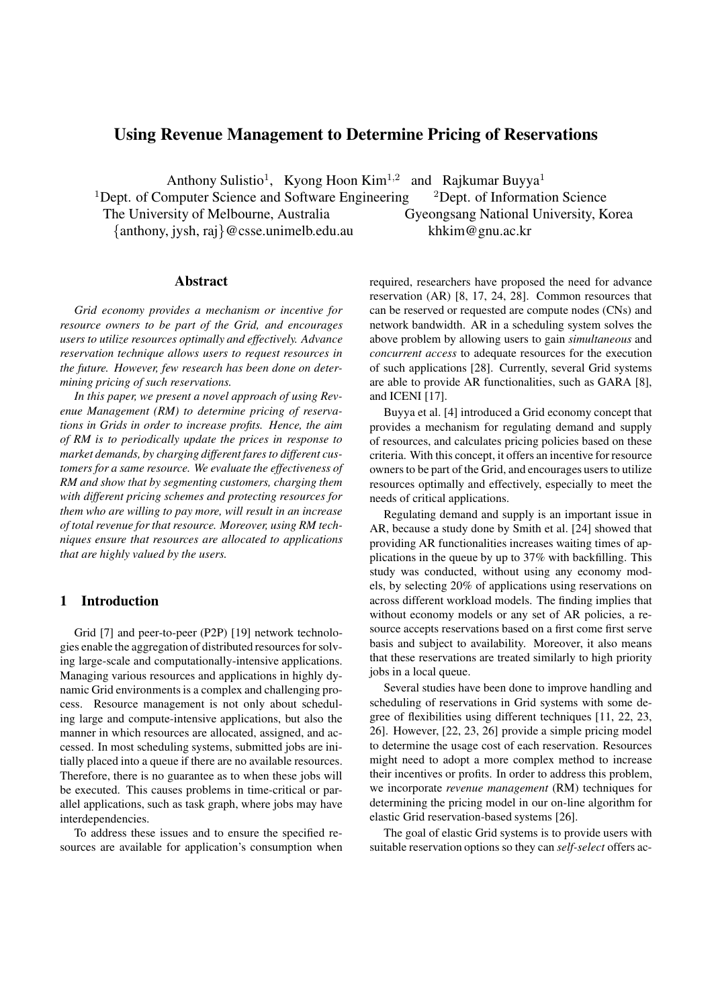# **Using Revenue Management to Determine Pricing of Reservations**

Anthony Sulistio<sup>1</sup>, Kyong Hoon Kim<sup>1,2</sup> and Rajkumar Buyya<sup>1</sup>

<sup>1</sup>Dept. of Computer Science and Software Engineering  $\frac{2}{{\rho}}$  <sup>2</sup>Dept. of Information Science

{anthony, jysh, raj}@csse.unimelb.edu.au khkim@gnu.ac.kr

The University of Melbourne, Australia Gyeongsang National University, Korea

# **Abstract**

*Grid economy provides a mechanism or incentive for resource owners to be part of the Grid, and encourages users to utilize resources optimally and effectively. Advance reservation technique allows users to request resources in the future. However, few research has been done on determining pricing of such reservations.*

*In this paper, we present a novel approach of using Revenue Management (RM) to determine pricing of reservations in Grids in order to increase profits. Hence, the aim of RM is to periodically update the prices in response to market demands, by charging different fares to different customers for a same resource. We evaluate the effectiveness of RM and show that by segmenting customers, charging them with different pricing schemes and protecting resources for them who are willing to pay more, will result in an increase of total revenue for that resource. Moreover, using RM techniques ensure that resources are allocated to applications that are highly valued by the users.*

## **1 Introduction**

Grid [7] and peer-to-peer (P2P) [19] network technologies enable the aggregation of distributed resources for solving large-scale and computationally-intensive applications. Managing various resources and applications in highly dynamic Grid environments is a complex and challenging process. Resource management is not only about scheduling large and compute-intensive applications, but also the manner in which resources are allocated, assigned, and accessed. In most scheduling systems, submitted jobs are initially placed into a queue if there are no available resources. Therefore, there is no guarantee as to when these jobs will be executed. This causes problems in time-critical or parallel applications, such as task graph, where jobs may have interdependencies.

To address these issues and to ensure the specified resources are available for application's consumption when required, researchers have proposed the need for advance reservation (AR) [8, 17, 24, 28]. Common resources that can be reserved or requested are compute nodes (CNs) and network bandwidth. AR in a scheduling system solves the above problem by allowing users to gain *simultaneous* and *concurrent access* to adequate resources for the execution of such applications [28]. Currently, several Grid systems are able to provide AR functionalities, such as GARA [8], and ICENI [17].

Buyya et al. [4] introduced a Grid economy concept that provides a mechanism for regulating demand and supply of resources, and calculates pricing policies based on these criteria. With this concept, it offers an incentive for resource ownersto be part of the Grid, and encourages users to utilize resources optimally and effectively, especially to meet the needs of critical applications.

Regulating demand and supply is an important issue in AR, because a study done by Smith et al. [24] showed that providing AR functionalities increases waiting times of applications in the queue by up to 37% with backfilling. This study was conducted, without using any economy models, by selecting 20% of applications using reservations on across different workload models. The finding implies that without economy models or any set of AR policies, a resource accepts reservations based on a first come first serve basis and subject to availability. Moreover, it also means that these reservations are treated similarly to high priority jobs in a local queue.

Several studies have been done to improve handling and scheduling of reservations in Grid systems with some degree of flexibilities using different techniques [11, 22, 23, 26]. However, [22, 23, 26] provide a simple pricing model to determine the usage cost of each reservation. Resources might need to adopt a more complex method to increase their incentives or profits. In order to address this problem, we incorporate *revenue management* (RM) techniques for determining the pricing model in our on-line algorithm for elastic Grid reservation-based systems [26].

The goal of elastic Grid systems is to provide users with suitable reservation options so they can *self-select* offers ac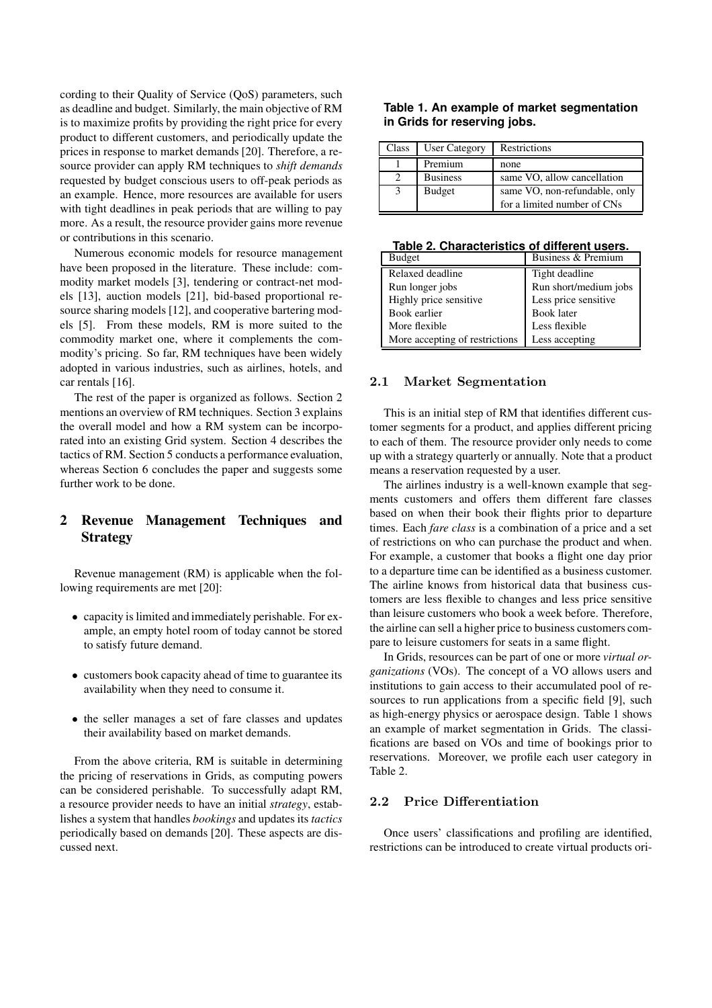cording to their Quality of Service (QoS) parameters, such as deadline and budget. Similarly, the main objective of RM is to maximize profits by providing the right price for every product to different customers, and periodically update the prices in response to market demands [20]. Therefore, a resource provider can apply RM techniques to *shift demands* requested by budget conscious users to off-peak periods as an example. Hence, more resources are available for users with tight deadlines in peak periods that are willing to pay more. As a result, the resource provider gains more revenue or contributions in this scenario.

Numerous economic models for resource management have been proposed in the literature. These include: commodity market models [3], tendering or contract-net models [13], auction models [21], bid-based proportional resource sharing models [12], and cooperative bartering models [5]. From these models, RM is more suited to the commodity market one, where it complements the commodity's pricing. So far, RM techniques have been widely adopted in various industries, such as airlines, hotels, and car rentals [16].

The rest of the paper is organized as follows. Section 2 mentions an overview of RM techniques. Section 3 explains the overall model and how a RM system can be incorporated into an existing Grid system. Section 4 describes the tactics of RM. Section 5 conducts a performance evaluation, whereas Section 6 concludes the paper and suggests some further work to be done.

# **2 Revenue Management Techniques and Strategy**

Revenue management (RM) is applicable when the following requirements are met [20]:

- capacity is limited and immediately perishable. For example, an empty hotel room of today cannot be stored to satisfy future demand.
- customers book capacity ahead of time to guarantee its availability when they need to consume it.
- the seller manages a set of fare classes and updates their availability based on market demands.

From the above criteria, RM is suitable in determining the pricing of reservations in Grids, as computing powers can be considered perishable. To successfully adapt RM, a resource provider needs to have an initial *strategy*, establishes a system that handles *bookings* and updates its *tactics* periodically based on demands [20]. These aspects are discussed next.

### **Table 1. An example of market segmentation in Grids for reserving jobs.**

| <b>Class</b> | <b>User Category</b> | Restrictions                                                 |
|--------------|----------------------|--------------------------------------------------------------|
|              | Premium              | none                                                         |
|              | <b>Business</b>      | same VO, allow cancellation                                  |
|              | <b>Budget</b>        | same VO, non-refundable, only<br>for a limited number of CNs |

## **Table 2. Characteristics of different users.**

| Budget                         | Business & Premium    |
|--------------------------------|-----------------------|
| Relaxed deadline               | Tight deadline        |
| Run longer jobs                | Run short/medium jobs |
| Highly price sensitive         | Less price sensitive  |
| Book earlier                   | <b>Book</b> later     |
| More flexible                  | Less flexible         |
| More accepting of restrictions | Less accepting        |

#### 2.1 Market Segmentation

This is an initial step of RM that identifies different customer segments for a product, and applies different pricing to each of them. The resource provider only needs to come up with a strategy quarterly or annually. Note that a product means a reservation requested by a user.

The airlines industry is a well-known example that segments customers and offers them different fare classes based on when their book their flights prior to departure times. Each *fare class* is a combination of a price and a set of restrictions on who can purchase the product and when. For example, a customer that books a flight one day prior to a departure time can be identified as a business customer. The airline knows from historical data that business customers are less flexible to changes and less price sensitive than leisure customers who book a week before. Therefore, the airline can sell a higher price to business customers compare to leisure customers for seats in a same flight.

In Grids, resources can be part of one or more *virtual organizations* (VOs). The concept of a VO allows users and institutions to gain access to their accumulated pool of resources to run applications from a specific field [9], such as high-energy physics or aerospace design. Table 1 shows an example of market segmentation in Grids. The classifications are based on VOs and time of bookings prior to reservations. Moreover, we profile each user category in Table 2.

### 2.2 Price Differentiation

Once users' classifications and profiling are identified, restrictions can be introduced to create virtual products ori-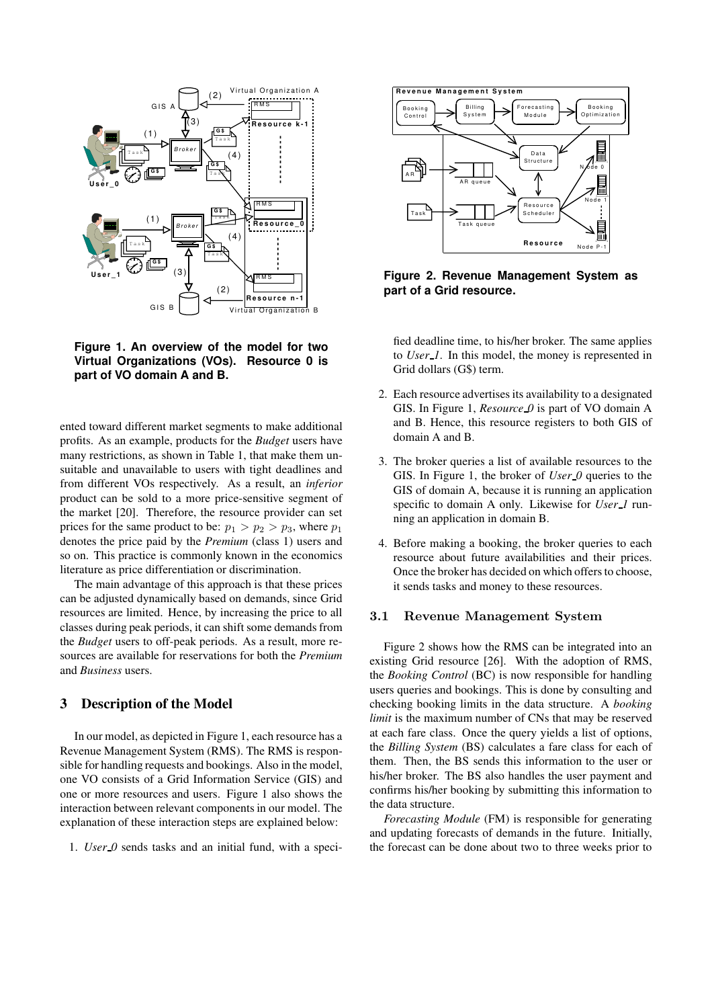

**Figure 1. An overview of the model for two Virtual Organizations (VOs). Resource 0 is part of VO domain A and B.**

ented toward different market segments to make additional profits. As an example, products for the *Budget* users have many restrictions, as shown in Table 1, that make them unsuitable and unavailable to users with tight deadlines and from different VOs respectively. As a result, an *inferior* product can be sold to a more price-sensitive segment of the market [20]. Therefore, the resource provider can set prices for the same product to be:  $p_1 > p_2 > p_3$ , where  $p_1$ denotes the price paid by the *Premium* (class 1) users and so on. This practice is commonly known in the economics literature as price differentiation or discrimination.

The main advantage of this approach is that these prices can be adjusted dynamically based on demands, since Grid resources are limited. Hence, by increasing the price to all classes during peak periods, it can shift some demands from the *Budget* users to off-peak periods. As a result, more resources are available for reservations for both the *Premium* and *Business* users.

# **3 Description of the Model**

In our model, as depicted in Figure 1, each resource has a Revenue Management System (RMS). The RMS is responsible for handling requests and bookings. Also in the model, one VO consists of a Grid Information Service (GIS) and one or more resources and users. Figure 1 also shows the interaction between relevant components in our model. The explanation of these interaction steps are explained below:

1. *User* 0 sends tasks and an initial fund, with a speci-



**Figure 2. Revenue Management System as part of a Grid resource.**

fied deadline time, to his/her broker. The same applies to *User 1*. In this model, the money is represented in Grid dollars (G\$) term.

- 2. Each resource advertises its availability to a designated GIS. In Figure 1, *Resource 0* is part of VO domain A and B. Hence, this resource registers to both GIS of domain A and B.
- 3. The broker queries a list of available resources to the GIS. In Figure 1, the broker of *User 0* queries to the GIS of domain A, because it is running an application specific to domain A only. Likewise for *User 1* running an application in domain B.
- 4. Before making a booking, the broker queries to each resource about future availabilities and their prices. Once the broker has decided on which offers to choose, it sends tasks and money to these resources.

### 3.1 Revenue Management System

Figure 2 shows how the RMS can be integrated into an existing Grid resource [26]. With the adoption of RMS, the *Booking Control* (BC) is now responsible for handling users queries and bookings. This is done by consulting and checking booking limits in the data structure. A *booking limit* is the maximum number of CNs that may be reserved at each fare class. Once the query yields a list of options, the *Billing System* (BS) calculates a fare class for each of them. Then, the BS sends this information to the user or his/her broker. The BS also handles the user payment and confirms his/her booking by submitting this information to the data structure.

*Forecasting Module* (FM) is responsible for generating and updating forecasts of demands in the future. Initially, the forecast can be done about two to three weeks prior to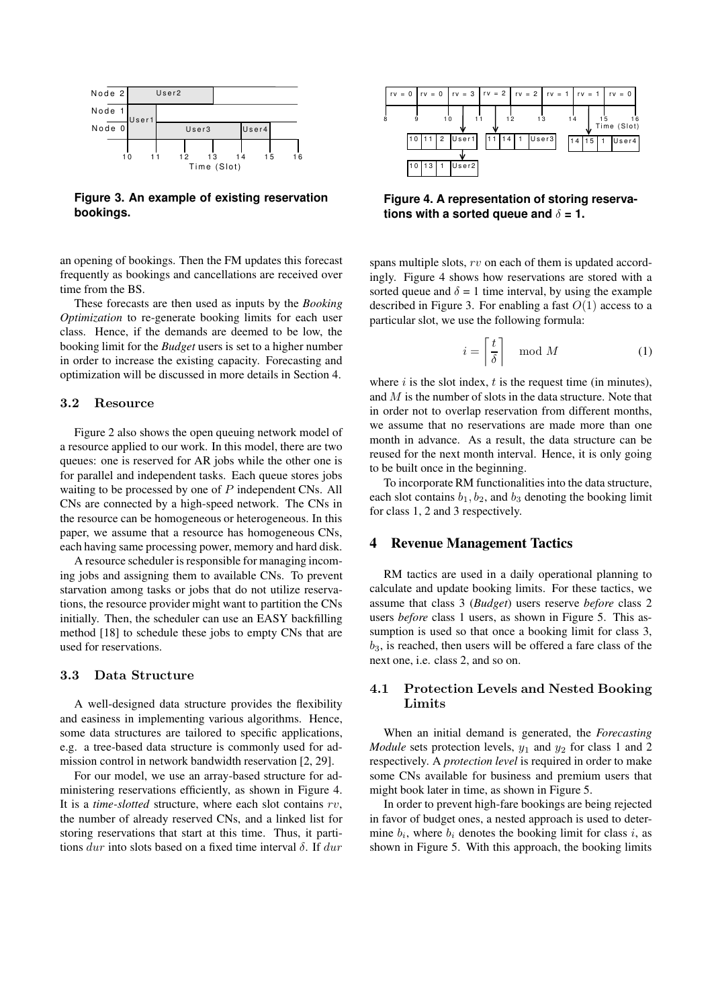

**Figure 3. An example of existing reservation bookings.**

an opening of bookings. Then the FM updates this forecast frequently as bookings and cancellations are received over time from the BS.

These forecasts are then used as inputs by the *Booking Optimization* to re-generate booking limits for each user class. Hence, if the demands are deemed to be low, the booking limit for the *Budget* users is set to a higher number in order to increase the existing capacity. Forecasting and optimization will be discussed in more details in Section 4.

## 3.2 Resource

Figure 2 also shows the open queuing network model of a resource applied to our work. In this model, there are two queues: one is reserved for AR jobs while the other one is for parallel and independent tasks. Each queue stores jobs waiting to be processed by one of P independent CNs. All CNs are connected by a high-speed network. The CNs in the resource can be homogeneous or heterogeneous. In this paper, we assume that a resource has homogeneous CNs, each having same processing power, memory and hard disk.

A resource scheduler is responsible for managing incoming jobs and assigning them to available CNs. To prevent starvation among tasks or jobs that do not utilize reservations, the resource provider might want to partition the CNs initially. Then, the scheduler can use an EASY backfilling method [18] to schedule these jobs to empty CNs that are used for reservations.

## 3.3 Data Structure

A well-designed data structure provides the flexibility and easiness in implementing various algorithms. Hence, some data structures are tailored to specific applications, e.g. a tree-based data structure is commonly used for admission control in network bandwidth reservation [2, 29].

For our model, we use an array-based structure for administering reservations efficiently, as shown in Figure 4. It is a *time-slotted* structure, where each slot contains rv, the number of already reserved CNs, and a linked list for storing reservations that start at this time. Thus, it partitions dur into slots based on a fixed time interval  $\delta$ . If dur



**Figure 4. A representation of storing reservations** with a sorted queue and  $\delta = 1$ .

spans multiple slots, rv on each of them is updated accordingly. Figure 4 shows how reservations are stored with a sorted queue and  $\delta = 1$  time interval, by using the example described in Figure 3. For enabling a fast  $O(1)$  access to a particular slot, we use the following formula:

$$
i = \left\lceil \frac{t}{\delta} \right\rceil \mod M \tag{1}
$$

where  $i$  is the slot index,  $t$  is the request time (in minutes), and M is the number of slots in the data structure. Note that in order not to overlap reservation from different months, we assume that no reservations are made more than one month in advance. As a result, the data structure can be reused for the next month interval. Hence, it is only going to be built once in the beginning.

To incorporate RM functionalities into the data structure, each slot contains  $b_1$ ,  $b_2$ , and  $b_3$  denoting the booking limit for class 1, 2 and 3 respectively.

### **4 Revenue Management Tactics**

RM tactics are used in a daily operational planning to calculate and update booking limits. For these tactics, we assume that class 3 (*Budget*) users reserve *before* class 2 users *before* class 1 users, as shown in Figure 5. This assumption is used so that once a booking limit for class 3,  $b_3$ , is reached, then users will be offered a fare class of the next one, i.e. class 2, and so on.

## 4.1 Protection Levels and Nested Booking Limits

When an initial demand is generated, the *Forecasting Module* sets protection levels,  $y_1$  and  $y_2$  for class 1 and 2 respectively. A *protection level* is required in order to make some CNs available for business and premium users that might book later in time, as shown in Figure 5.

In order to prevent high-fare bookings are being rejected in favor of budget ones, a nested approach is used to determine  $b_i$ , where  $b_i$  denotes the booking limit for class i, as shown in Figure 5. With this approach, the booking limits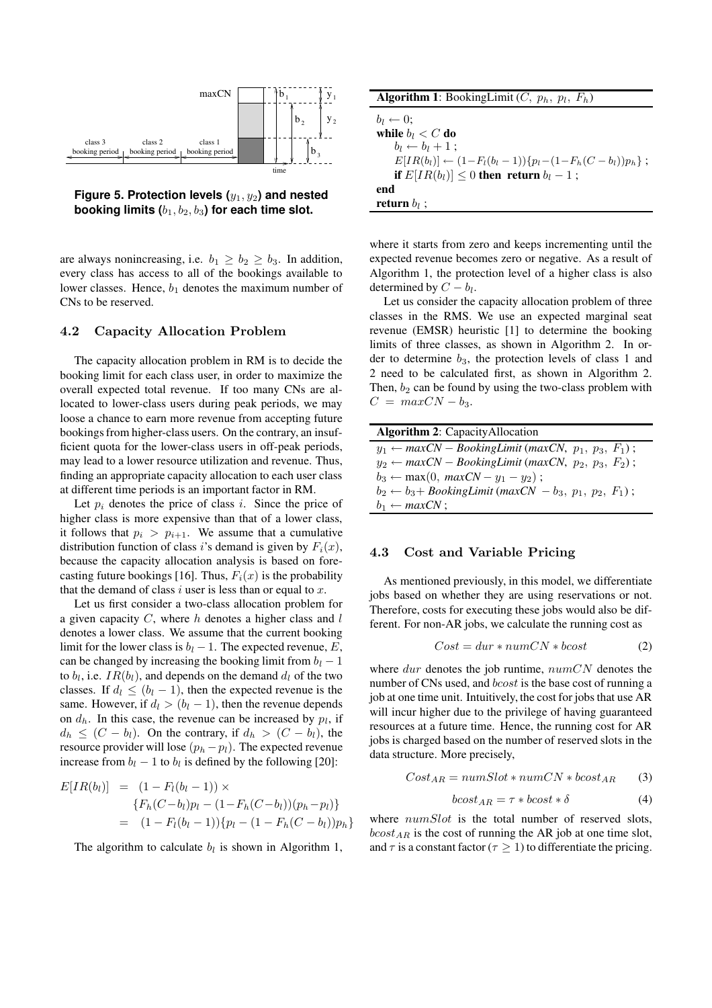

**Figure 5. Protection levels (**y1, y2**) and nested booking limits (**b1, b2, b3**) for each time slot.**

are always nonincreasing, i.e.  $b_1 \geq b_2 \geq b_3$ . In addition, every class has access to all of the bookings available to lower classes. Hence,  $b_1$  denotes the maximum number of CNs to be reserved.

### 4.2 Capacity Allocation Problem

The capacity allocation problem in RM is to decide the booking limit for each class user, in order to maximize the overall expected total revenue. If too many CNs are allocated to lower-class users during peak periods, we may loose a chance to earn more revenue from accepting future bookings from higher-class users. On the contrary, an insufficient quota for the lower-class users in off-peak periods, may lead to a lower resource utilization and revenue. Thus, finding an appropriate capacity allocation to each user class at different time periods is an important factor in RM.

Let  $p_i$  denotes the price of class i. Since the price of higher class is more expensive than that of a lower class, it follows that  $p_i > p_{i+1}$ . We assume that a cumulative distribution function of class i's demand is given by  $F_i(x)$ , because the capacity allocation analysis is based on forecasting future bookings [16]. Thus,  $F_i(x)$  is the probability that the demand of class i user is less than or equal to  $x$ .

Let us first consider a two-class allocation problem for a given capacity  $C$ , where  $h$  denotes a higher class and  $l$ denotes a lower class. We assume that the current booking limit for the lower class is  $b_l - 1$ . The expected revenue, E, can be changed by increasing the booking limit from  $b_l - 1$ to  $b_l$ , i.e.  $IR(b_l)$ , and depends on the demand  $d_l$  of the two classes. If  $d_l \leq (b_l - 1)$ , then the expected revenue is the same. However, if  $d_l > (b_l - 1)$ , then the revenue depends on  $d_h$ . In this case, the revenue can be increased by  $p_l$ , if  $d_h \leq (C - b_l)$ . On the contrary, if  $d_h > (C - b_l)$ , the resource provider will lose  $(p_h - p_l)$ . The expected revenue increase from  $b_l - 1$  to  $b_l$  is defined by the following [20]:

$$
E[IR(b_l)] = (1 - F_l(b_l - 1)) \times
$$
  
\n
$$
\{F_h(C - b_l)p_l - (1 - F_h(C - b_l))(p_h - p_l)\}
$$
  
\n
$$
= (1 - F_l(b_l - 1))\{p_l - (1 - F_h(C - b_l))p_h\}
$$

The algorithm to calculate  $b_l$  is shown in Algorithm 1,

| <b>Algorithm 1:</b> BookingLimit $(C, p_h, p_l, F_h)$                      |
|----------------------------------------------------------------------------|
| $b_i \leftarrow 0$ :                                                       |
| while $b_l < C$ do                                                         |
| $b_i \leftarrow b_i + 1$ :                                                 |
| $E[IR(b_l)] \leftarrow (1 - F_l(b_l - 1))\{p_l - (1 - F_h(C - b_l))p_h\};$ |
| if $E[IR(b_l)] \leq 0$ then return $b_l - 1$ ;                             |
| end                                                                        |
| <b>return</b> $b_i$ :                                                      |

where it starts from zero and keeps incrementing until the expected revenue becomes zero or negative. As a result of Algorithm 1, the protection level of a higher class is also determined by  $C - b_l$ .

Let us consider the capacity allocation problem of three classes in the RMS. We use an expected marginal seat revenue (EMSR) heuristic [1] to determine the booking limits of three classes, as shown in Algorithm 2. In order to determine  $b_3$ , the protection levels of class 1 and 2 need to be calculated first, as shown in Algorithm 2. Then,  $b_2$  can be found by using the two-class problem with  $C = maxCN - b_3.$ 

| <b>Algorithm 2:</b> Capacity Allocation                                                                                    |
|----------------------------------------------------------------------------------------------------------------------------|
| $y_1 \leftarrow maxCN - BookingLimit(maxCN, p_1, p_3, F_1);$                                                               |
| $y_2 \leftarrow maxCN - BookingLimit(maxCN, p_2, p_3, F_2);$                                                               |
| $b_3 \leftarrow max(0, maxCN - y_1 - y_2);$                                                                                |
| $b_2 \leftarrow b_3 + \textit{BookingLimit}$ (maxCN - b <sub>3</sub> , p <sub>1</sub> , p <sub>2</sub> , F <sub>1</sub> ); |
| $b_1 \leftarrow maxCN$ :                                                                                                   |

#### 4.3 Cost and Variable Pricing

As mentioned previously, in this model, we differentiate jobs based on whether they are using reservations or not. Therefore, costs for executing these jobs would also be different. For non-AR jobs, we calculate the running cost as

$$
Cost = dur * numCN * boost \tag{2}
$$

where  $dur$  denotes the job runtime,  $numCN$  denotes the number of CNs used, and *bcost* is the base cost of running a job at one time unit. Intuitively, the cost for jobs that use AR will incur higher due to the privilege of having guaranteed resources at a future time. Hence, the running cost for AR jobs is charged based on the number of reserved slots in the data structure. More precisely,

$$
Cost_{AR} = numSlot * numCN * bcost_{AR} \qquad (3)
$$

$$
bcost_{AR} = \tau * bcost * \delta \tag{4}
$$

where  $numSlot$  is the total number of reserved slots,  $bcost_{AR}$  is the cost of running the AR job at one time slot, and  $\tau$  is a constant factor ( $\tau > 1$ ) to differentiate the pricing.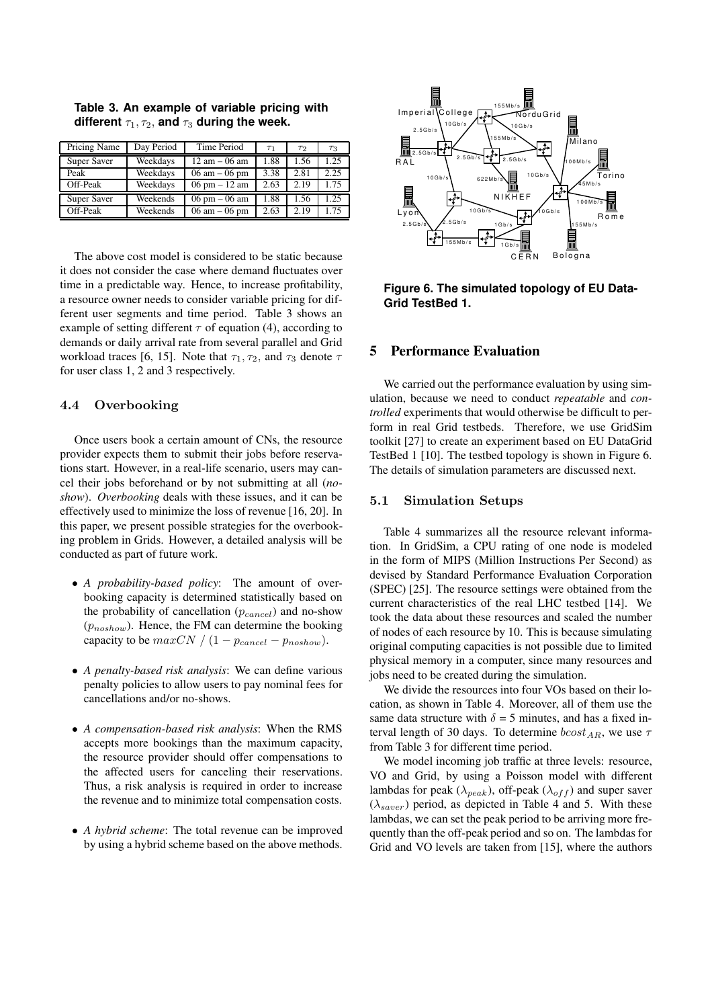| Pricing Name | Day Period | Time Period                     | $\tau_1$ | $\tau_2$ | $\tau_3$ |
|--------------|------------|---------------------------------|----------|----------|----------|
| Super Saver  | Weekdays   | $12 \text{ am} - 06 \text{ am}$ | 1.88     | 1.56     | 1.25     |
| Peak         | Weekdays   | $06 \text{ am} - 06 \text{ pm}$ | 3.38     | 2.81     | 2.25     |
| Off-Peak     | Weekdays   | $06 \text{ pm} - 12 \text{ am}$ | 2.63     | 2.19     | 1.75     |
| Super Saver  | Weekends   | $06 \text{ pm} - 06 \text{ am}$ | 1.88     | 1.56     | 1.25     |
| Off-Peak     | Weekends   | $06 \text{ am} - 06 \text{ pm}$ | 2.63     | 2.19     | 1.75     |

**Table 3. An example of variable pricing with different**  $\tau_1, \tau_2$ , and  $\tau_3$  during the week.

The above cost model is considered to be static because it does not consider the case where demand fluctuates over time in a predictable way. Hence, to increase profitability, a resource owner needs to consider variable pricing for different user segments and time period. Table 3 shows an example of setting different  $\tau$  of equation (4), according to demands or daily arrival rate from several parallel and Grid workload traces [6, 15]. Note that  $\tau_1, \tau_2$ , and  $\tau_3$  denote  $\tau$ for user class 1, 2 and 3 respectively.

### 4.4 Overbooking

Once users book a certain amount of CNs, the resource provider expects them to submit their jobs before reservations start. However, in a real-life scenario, users may cancel their jobs beforehand or by not submitting at all (*noshow*). *Overbooking* deals with these issues, and it can be effectively used to minimize the loss of revenue [16, 20]. In this paper, we present possible strategies for the overbooking problem in Grids. However, a detailed analysis will be conducted as part of future work.

- *A probability-based policy*: The amount of overbooking capacity is determined statistically based on the probability of cancellation  $(p_{cancel})$  and no-show  $(p_{noshow})$ . Hence, the FM can determine the booking capacity to be  $maxCN / (1 - p_{cancel} - p_{noshow}).$
- *A penalty-based risk analysis*: We can define various penalty policies to allow users to pay nominal fees for cancellations and/or no-shows.
- *A compensation-based risk analysis*: When the RMS accepts more bookings than the maximum capacity, the resource provider should offer compensations to the affected users for canceling their reservations. Thus, a risk analysis is required in order to increase the revenue and to minimize total compensation costs.
- *A hybrid scheme*: The total revenue can be improved by using a hybrid scheme based on the above methods.



**Figure 6. The simulated topology of EU Data-Grid TestBed 1.**

## **5 Performance Evaluation**

We carried out the performance evaluation by using simulation, because we need to conduct *repeatable* and *controlled* experiments that would otherwise be difficult to perform in real Grid testbeds. Therefore, we use GridSim toolkit [27] to create an experiment based on EU DataGrid TestBed 1 [10]. The testbed topology is shown in Figure 6. The details of simulation parameters are discussed next.

#### 5.1 Simulation Setups

Table 4 summarizes all the resource relevant information. In GridSim, a CPU rating of one node is modeled in the form of MIPS (Million Instructions Per Second) as devised by Standard Performance Evaluation Corporation (SPEC) [25]. The resource settings were obtained from the current characteristics of the real LHC testbed [14]. We took the data about these resources and scaled the number of nodes of each resource by 10. This is because simulating original computing capacities is not possible due to limited physical memory in a computer, since many resources and jobs need to be created during the simulation.

We divide the resources into four VOs based on their location, as shown in Table 4. Moreover, all of them use the same data structure with  $\delta = 5$  minutes, and has a fixed interval length of 30 days. To determine  $bcost_{AR}$ , we use  $\tau$ from Table 3 for different time period.

We model incoming job traffic at three levels: resource, VO and Grid, by using a Poisson model with different lambdas for peak ( $\lambda_{peak}$ ), off-peak ( $\lambda_{off}$ ) and super saver  $(\lambda_{saver})$  period, as depicted in Table 4 and 5. With these lambdas, we can set the peak period to be arriving more frequently than the off-peak period and so on. The lambdas for Grid and VO levels are taken from [15], where the authors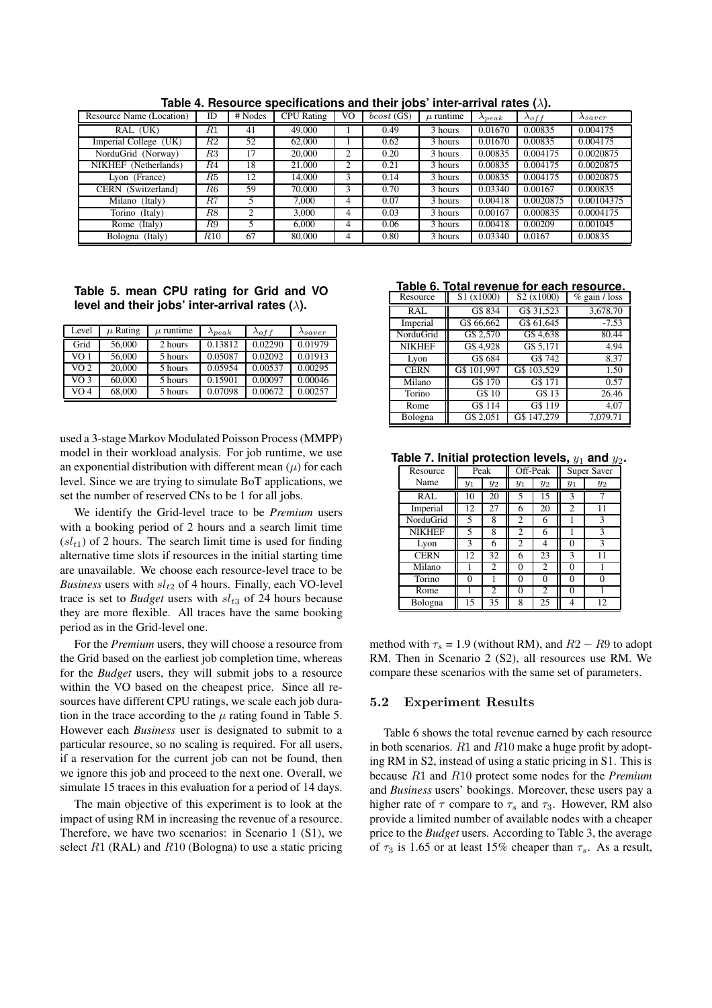| Resource Name (Location) | ID  | # Nodes        | <b>CPU</b> Rating | V <sub>O</sub> | bcost(G\$) | $\mu$ runtime | $\Lambda_{peak}$ | $\mathbf{v}$<br>$\lambda_{off}$ | $\lambda_{saver}$ |
|--------------------------|-----|----------------|-------------------|----------------|------------|---------------|------------------|---------------------------------|-------------------|
| RAL (UK)                 | R1  | 41             | 49,000            |                | 0.49       | 3 hours       | 0.01670          | 0.00835                         | 0.004175          |
| Imperial College (UK)    | R2  | 52             | 62,000            |                | 0.62       | 3 hours       | 0.01670          | 0.00835                         | 0.004175          |
| NorduGrid (Norway)       | R3  | 17             | 20,000            | ↑              | 0.20       | 3 hours       | 0.00835          | 0.004175                        | 0.0020875         |
| NIKHEF (Netherlands)     | R4  | 18             | 21,000            | 2              | 0.21       | 3 hours       | 0.00835          | 0.004175                        | 0.0020875         |
| Lyon (France)            | R5  | 12             | 14,000            | 3              | 0.14       | 3 hours       | 0.00835          | 0.004175                        | 0.0020875         |
| CERN (Switzerland)       | R6  | 59             | 70,000            | 3              | 0.70       | 3 hours       | 0.03340          | 0.00167                         | 0.000835          |
| Milano (Italy)           | R7  |                | 7.000             | 4              | 0.07       | 3 hours       | 0.00418          | 0.0020875                       | 0.00104375        |
| Torino (Italy)           | R8  | $\mathfrak{D}$ | 3.000             | 4              | 0.03       | 3 hours       | 0.00167          | 0.000835                        | 0.0004175         |
| Rome (Italy)             | R9  |                | 6.000             | 4              | 0.06       | 3 hours       | 0.00418          | 0.00209                         | 0.001045          |
| Bologna (Italy)          | R10 | 67             | 80,000            | 4              | 0.80       | 3 hours       | 0.03340          | 0.0167                          | 0.00835           |

**Table 4. Resource specifications and their jobs' inter-arrival rates (**λ**).**

### **Table 5. mean CPU rating for Grid and VO level and their jobs' inter-arrival rates (**λ**).**

| Level           | $\mu$ Rating | $\mu$ runtime | $\lambda_{peak}$ | $\lambda_{off}$ | $\lambda_{saver}$ |
|-----------------|--------------|---------------|------------------|-----------------|-------------------|
| Grid            | 56,000       | 2 hours       | 0.13812          | 0.02290         | 0.01979           |
| VO <sub>1</sub> | 56,000       | 5 hours       | 0.05087          | 0.02092         | 0.01913           |
| VO <sub>2</sub> | 20,000       | 5 hours       | 0.05954          | 0.00537         | 0.00295           |
| VO <sub>3</sub> | 60,000       | 5 hours       | 0.15901          | 0.00097         | 0.00046           |
| VO 4            | 68,000       | 5 hours       | 0.07098          | 0.00672         | 0.00257           |

used a 3-stage Markov Modulated Poisson Process (MMPP) model in their workload analysis. For job runtime, we use an exponential distribution with different mean  $(\mu)$  for each level. Since we are trying to simulate BoT applications, we set the number of reserved CNs to be 1 for all jobs.

We identify the Grid-level trace to be *Premium* users with a booking period of 2 hours and a search limit time  $(sl<sub>t1</sub>)$  of 2 hours. The search limit time is used for finding alternative time slots if resources in the initial starting time are unavailable. We choose each resource-level trace to be *Business* users with  $sl_{t2}$  of 4 hours. Finally, each VO-level trace is set to *Budget* users with  $sl_{t3}$  of 24 hours because they are more flexible. All traces have the same booking period as in the Grid-level one.

For the *Premium* users, they will choose a resource from the Grid based on the earliest job completion time, whereas for the *Budget* users, they will submit jobs to a resource within the VO based on the cheapest price. Since all resources have different CPU ratings, we scale each job duration in the trace according to the  $\mu$  rating found in Table 5. However each *Business* user is designated to submit to a particular resource, so no scaling is required. For all users, if a reservation for the current job can not be found, then we ignore this job and proceed to the next one. Overall, we simulate 15 traces in this evaluation for a period of 14 days.

The main objective of this experiment is to look at the impact of using RM in increasing the revenue of a resource. Therefore, we have two scenarios: in Scenario 1 (S1), we select  $R1$  (RAL) and  $R10$  (Bologna) to use a static pricing

**Table 6. Total revenue for each resource.**

|               | $1$ abic 0. Tulai Teveriue IUI each Tesuulce. |                        |                 |
|---------------|-----------------------------------------------|------------------------|-----------------|
| Resource      | S1 (x1000)                                    | S <sub>2</sub> (x1000) | $%$ gain / loss |
| RAL           | $\overline{GS}$ 834                           | G\$ 31,523             | 3,678.70        |
| Imperial      | G\$ 66,662                                    | G\$ 61,645             | $-7.53$         |
| NorduGrid     | G\$ 2,570                                     | G\$4,638               | 80.44           |
| <b>NIKHEF</b> | $\sqrt{G$4,928}$                              | G\$ 5,171              | 4.94            |
| Lyon          | G\$ 684                                       | G\$ 742                | 8.37            |
| <b>CERN</b>   | G\$ 101,997                                   | G\$ 103.529            | 1.50            |
| Milano        | G\$ 170                                       | G\$ 171                | 0.57            |
| Torino        | G\$ 10                                        | G\$ 13                 | 26.46           |
| Rome          | G\$ 114                                       | G\$ 119                | 4.07            |
| Bologna       | G\$ 2,051                                     | G\$ 147.279            | 7,079.71        |

**Table 7. Initial protection levels,**  $y_1$  and  $y_2$ .

| 7 H L<br>ىر د |       |                |                |                |                |       |  |  |
|---------------|-------|----------------|----------------|----------------|----------------|-------|--|--|
| Resource      |       | Peak           | Off-Peak       |                | Super Saver    |       |  |  |
| Name          | $y_1$ | $y_2$          | $y_1$          | $y_2$          | $y_1$          | $y_2$ |  |  |
| RAL           | 10    | 20             | 5              | 15             | 3              | 7     |  |  |
| Imperial      | 12    | 27             | 6              | 20             | $\overline{c}$ | 11    |  |  |
| NorduGrid     | 5     | 8              | 2              | 6              |                | 3     |  |  |
| <b>NIKHEF</b> | 5     | 8              | $\overline{c}$ | 6              |                | 3     |  |  |
| Lyon          | 3     | 6              | 2              | 4              | $\Omega$       | 3     |  |  |
| <b>CERN</b>   | 12    | 32             | 6              | 23             | 3              |       |  |  |
| Milano        |       | $\overline{c}$ | 0              | $\overline{2}$ | 0              |       |  |  |
| Torino        | 0     |                | 0              | 0              | $\Omega$       | 0     |  |  |
| Rome          |       | $\overline{c}$ | 0              | $\mathfrak{D}$ | $\Omega$       |       |  |  |
| Bologna       | 15    | 35             | 8              | 25             |                | 12    |  |  |

method with  $\tau_s = 1.9$  (without RM), and  $R2 - R9$  to adopt RM. Then in Scenario 2 (S2), all resources use RM. We compare these scenarios with the same set of parameters.

### 5.2 Experiment Results

Table 6 shows the total revenue earned by each resource in both scenarios.  $R1$  and  $R10$  make a huge profit by adopting RM in S2, instead of using a static pricing in S1. This is because R1 and R10 protect some nodes for the *Premium* and *Business* users' bookings. Moreover, these users pay a higher rate of  $\tau$  compare to  $\tau_s$  and  $\tau_3$ . However, RM also provide a limited number of available nodes with a cheaper price to the *Budget* users. According to Table 3, the average of  $\tau_3$  is 1.65 or at least 15% cheaper than  $\tau_s$ . As a result,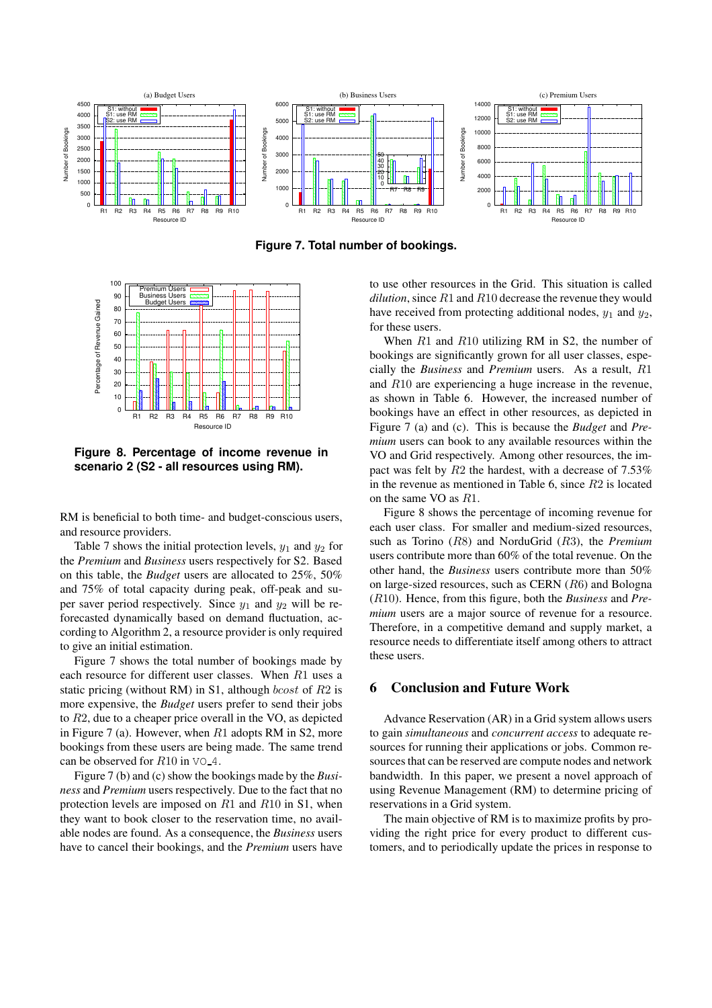

**Figure 7. Total number of bookings.**



**Figure 8. Percentage of income revenue in scenario 2 (S2 - all resources using RM).**

RM is beneficial to both time- and budget-conscious users, and resource providers.

Table 7 shows the initial protection levels,  $y_1$  and  $y_2$  for the *Premium* and *Business* users respectively for S2. Based on this table, the *Budget* users are allocated to 25%, 50% and 75% of total capacity during peak, off-peak and super saver period respectively. Since  $y_1$  and  $y_2$  will be reforecasted dynamically based on demand fluctuation, according to Algorithm 2, a resource provider is only required to give an initial estimation.

Figure 7 shows the total number of bookings made by each resource for different user classes. When R1 uses a static pricing (without RM) in S1, although *bcost* of  $R2$  is more expensive, the *Budget* users prefer to send their jobs to R2, due to a cheaper price overall in the VO, as depicted in Figure 7 (a). However, when  $R1$  adopts RM in S2, more bookings from these users are being made. The same trend can be observed for  $R10$  in  $\sqrt{0.4}$ .

Figure 7 (b) and (c) show the bookings made by the *Business* and *Premium* users respectively. Due to the fact that no protection levels are imposed on  $R1$  and  $R10$  in S1, when they want to book closer to the reservation time, no available nodes are found. As a consequence, the *Business* users have to cancel their bookings, and the *Premium* users have to use other resources in the Grid. This situation is called *dilution*, since R1 and R10 decrease the revenue they would have received from protecting additional nodes,  $y_1$  and  $y_2$ , for these users.

When  $R1$  and  $R10$  utilizing RM in S2, the number of bookings are significantly grown for all user classes, especially the *Business* and *Premium* users. As a result, R1 and R10 are experiencing a huge increase in the revenue, as shown in Table 6. However, the increased number of bookings have an effect in other resources, as depicted in Figure 7 (a) and (c). This is because the *Budget* and *Premium* users can book to any available resources within the VO and Grid respectively. Among other resources, the impact was felt by  $R2$  the hardest, with a decrease of 7.53% in the revenue as mentioned in Table 6, since  $R2$  is located on the same VO as R1.

Figure 8 shows the percentage of incoming revenue for each user class. For smaller and medium-sized resources, such as Torino (R8) and NorduGrid (R3), the *Premium* users contribute more than 60% of the total revenue. On the other hand, the *Business* users contribute more than 50% on large-sized resources, such as CERN (R6) and Bologna (R10). Hence, from this figure, both the *Business* and *Premium* users are a major source of revenue for a resource. Therefore, in a competitive demand and supply market, a resource needs to differentiate itself among others to attract these users.

# **6 Conclusion and Future Work**

Advance Reservation (AR) in a Grid system allows users to gain *simultaneous* and *concurrent access* to adequate resources for running their applications or jobs. Common resources that can be reserved are compute nodes and network bandwidth. In this paper, we present a novel approach of using Revenue Management (RM) to determine pricing of reservations in a Grid system.

The main objective of RM is to maximize profits by providing the right price for every product to different customers, and to periodically update the prices in response to